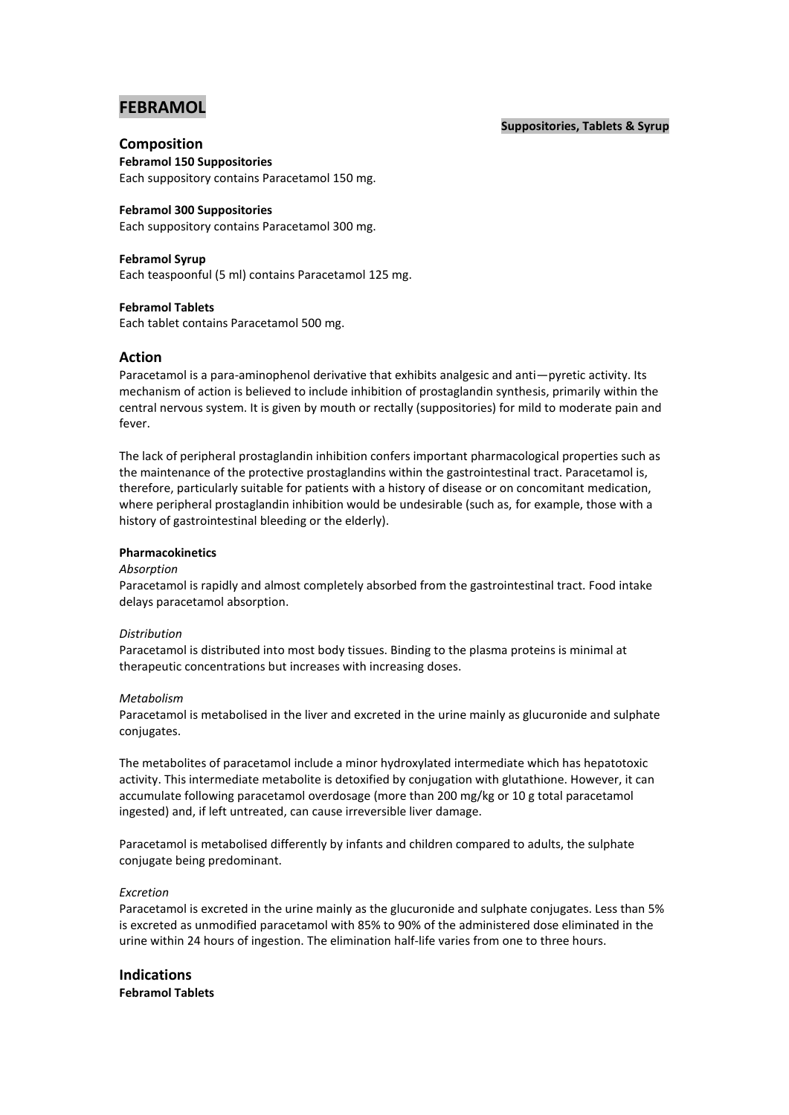# **FEBRAMOL**

#### **Suppositories, Tablets & Syrup**

# **Composition**

**Febramol 150 Suppositories** Each suppository contains Paracetamol 150 mg.

# **Febramol 300 Suppositories**

Each suppository contains Paracetamol 300 mg.

# **Febramol Syrup**

Each teaspoonful (5 ml) contains Paracetamol 125 mg.

## **Febramol Tablets**

Each tablet contains Paracetamol 500 mg.

# **Action**

Paracetamol is a para-aminophenol derivative that exhibits analgesic and anti—pyretic activity. Its mechanism of action is believed to include inhibition of prostaglandin synthesis, primarily within the central nervous system. It is given by mouth or rectally (suppositories) for mild to moderate pain and fever.

The lack of peripheral prostaglandin inhibition confers important pharmacological properties such as the maintenance of the protective prostaglandins within the gastrointestinal tract. Paracetamol is, therefore, particularly suitable for patients with a history of disease or on concomitant medication, where peripheral prostaglandin inhibition would be undesirable (such as, for example, those with a history of gastrointestinal bleeding or the elderly).

## **Pharmacokinetics**

#### *Absorption*

Paracetamol is rapidly and almost completely absorbed from the gastrointestinal tract. Food intake delays paracetamol absorption.

#### *Distribution*

Paracetamol is distributed into most body tissues. Binding to the plasma proteins is minimal at therapeutic concentrations but increases with increasing doses.

## *Metabolism*

Paracetamol is metabolised in the liver and excreted in the urine mainly as glucuronide and sulphate conjugates.

The metabolites of paracetamol include a minor hydroxylated intermediate which has hepatotoxic activity. This intermediate metabolite is detoxified by conjugation with glutathione. However, it can accumulate following paracetamol overdosage (more than 200 mg/kg or 10 g total paracetamol ingested) and, if left untreated, can cause irreversible liver damage.

Paracetamol is metabolised differently by infants and children compared to adults, the sulphate conjugate being predominant.

## *Excretion*

Paracetamol is excreted in the urine mainly as the glucuronide and sulphate conjugates. Less than 5% is excreted as unmodified paracetamol with 85% to 90% of the administered dose eliminated in the urine within 24 hours of ingestion. The elimination half-life varies from one to three hours.

**Indications Febramol Tablets**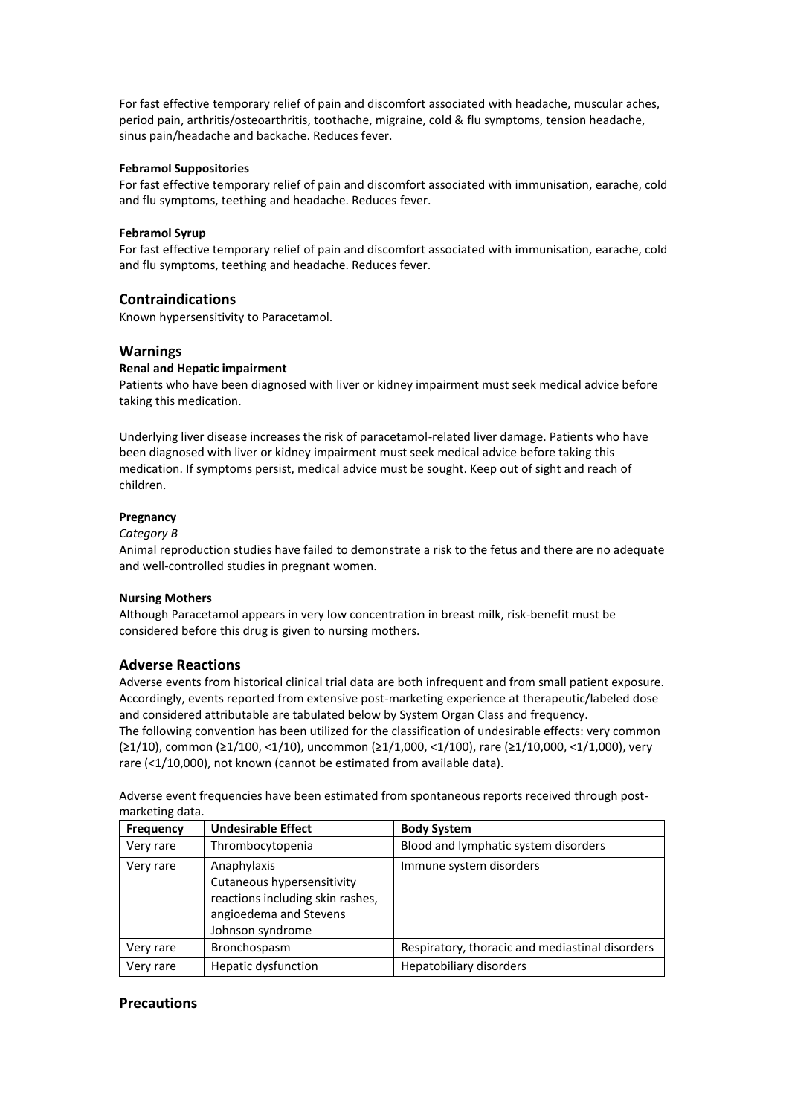For fast effective temporary relief of pain and discomfort associated with headache, muscular aches, period pain, arthritis/osteoarthritis, toothache, migraine, cold & flu symptoms, tension headache, sinus pain/headache and backache. Reduces fever.

#### **Febramol Suppositories**

For fast effective temporary relief of pain and discomfort associated with immunisation, earache, cold and flu symptoms, teething and headache. Reduces fever.

#### **Febramol Syrup**

For fast effective temporary relief of pain and discomfort associated with immunisation, earache, cold and flu symptoms, teething and headache. Reduces fever.

# **Contraindications**

Known hypersensitivity to Paracetamol.

## **Warnings**

#### **Renal and Hepatic impairment**

Patients who have been diagnosed with liver or kidney impairment must seek medical advice before taking this medication.

Underlying liver disease increases the risk of paracetamol-related liver damage. Patients who have been diagnosed with liver or kidney impairment must seek medical advice before taking this medication. If symptoms persist, medical advice must be sought. Keep out of sight and reach of children.

#### **Pregnancy**

#### *Category B*

Animal reproduction studies have failed to demonstrate a risk to the fetus and there are no adequate and well-controlled studies in pregnant women.

#### **Nursing Mothers**

Although Paracetamol appears in very low concentration in breast milk, risk-benefit must be considered before this drug is given to nursing mothers.

## **Adverse Reactions**

Adverse events from historical clinical trial data are both infrequent and from small patient exposure. Accordingly, events reported from extensive post-marketing experience at therapeutic/labeled dose and considered attributable are tabulated below by System Organ Class and frequency.

The following convention has been utilized for the classification of undesirable effects: very common (≥1/10), common (≥1/100, <1/10), uncommon (≥1/1,000, <1/100), rare (≥1/10,000, <1/1,000), very rare (<1/10,000), not known (cannot be estimated from available data).

Adverse event frequencies have been estimated from spontaneous reports received through postmarketing data.

| <b>Frequency</b> | <b>Undesirable Effect</b>                                                                                                   | <b>Body System</b>                              |
|------------------|-----------------------------------------------------------------------------------------------------------------------------|-------------------------------------------------|
| Very rare        | Thrombocytopenia                                                                                                            | Blood and lymphatic system disorders            |
| Very rare        | Anaphylaxis<br>Cutaneous hypersensitivity<br>reactions including skin rashes,<br>angioedema and Stevens<br>Johnson syndrome | Immune system disorders                         |
| Very rare        | Bronchospasm                                                                                                                | Respiratory, thoracic and mediastinal disorders |
| Very rare        | <b>Hepatic dysfunction</b>                                                                                                  | Hepatobiliary disorders                         |

## **Precautions**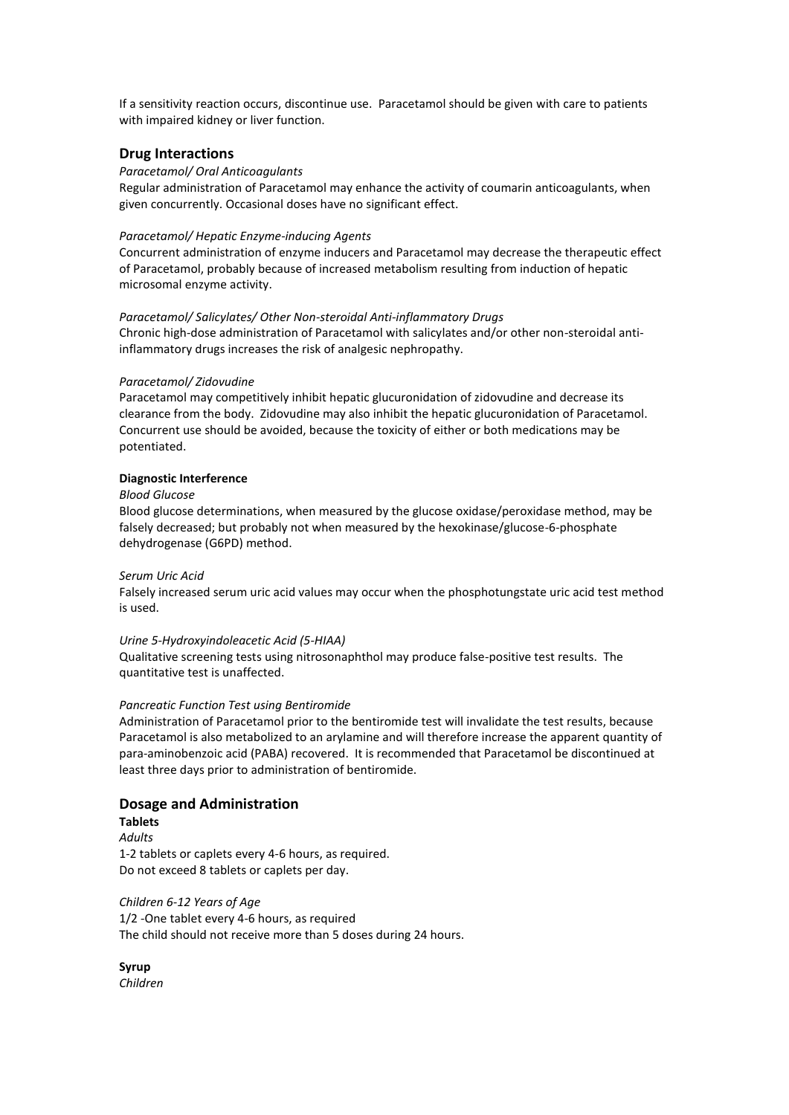If a sensitivity reaction occurs, discontinue use. Paracetamol should be given with care to patients with impaired kidney or liver function.

## **Drug Interactions**

#### *Paracetamol/ Oral Anticoagulants*

Regular administration of Paracetamol may enhance the activity of coumarin anticoagulants, when given concurrently. Occasional doses have no significant effect.

#### *Paracetamol/ Hepatic Enzyme-inducing Agents*

Concurrent administration of enzyme inducers and Paracetamol may decrease the therapeutic effect of Paracetamol, probably because of increased metabolism resulting from induction of hepatic microsomal enzyme activity.

#### *Paracetamol/ Salicylates/ Other Non-steroidal Anti-inflammatory Drugs*

Chronic high-dose administration of Paracetamol with salicylates and/or other non-steroidal antiinflammatory drugs increases the risk of analgesic nephropathy.

#### *Paracetamol/ Zidovudine*

Paracetamol may competitively inhibit hepatic glucuronidation of zidovudine and decrease its clearance from the body. Zidovudine may also inhibit the hepatic glucuronidation of Paracetamol. Concurrent use should be avoided, because the toxicity of either or both medications may be potentiated.

#### **Diagnostic Interference**

#### *Blood Glucose*

Blood glucose determinations, when measured by the glucose oxidase/peroxidase method, may be falsely decreased; but probably not when measured by the hexokinase/glucose-6-phosphate dehydrogenase (G6PD) method.

#### *Serum Uric Acid*

Falsely increased serum uric acid values may occur when the phosphotungstate uric acid test method is used.

#### *Urine 5-Hydroxyindoleacetic Acid (5-HIAA)*

Qualitative screening tests using nitrosonaphthol may produce false-positive test results. The quantitative test is unaffected.

#### *Pancreatic Function Test using Bentiromide*

Administration of Paracetamol prior to the bentiromide test will invalidate the test results, because Paracetamol is also metabolized to an arylamine and will therefore increase the apparent quantity of para-aminobenzoic acid (PABA) recovered. It is recommended that Paracetamol be discontinued at least three days prior to administration of bentiromide.

## **Dosage and Administration**

**Tablets**  *Adults* 1-2 tablets or caplets every 4-6 hours, as required. Do not exceed 8 tablets or caplets per day.

# *Children 6-12 Years of Age* 1/2 -One tablet every 4-6 hours, as required The child should not receive more than 5 doses during 24 hours.

**Syrup** *Children*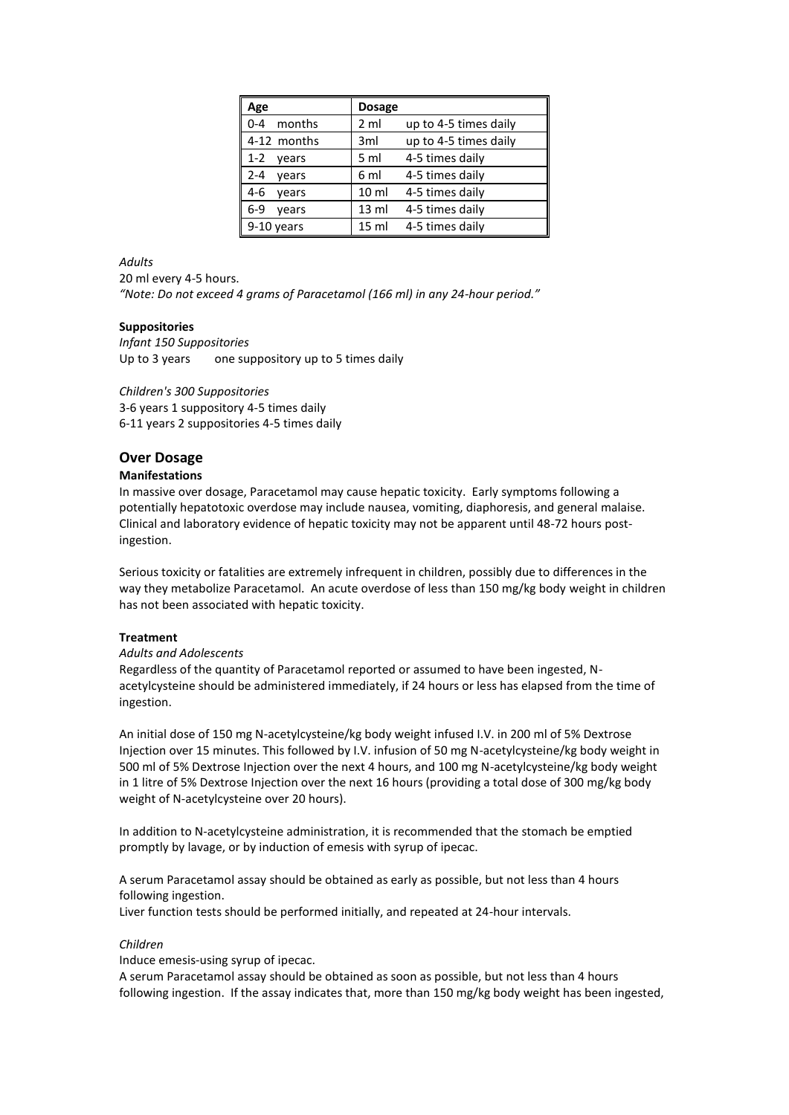| Age               | <b>Dosage</b>    |                       |
|-------------------|------------------|-----------------------|
| $0 - 4$<br>months | 2 <sub>m</sub>   | up to 4-5 times daily |
| 4-12 months       | 3 <sub>ml</sub>  | up to 4-5 times daily |
| $1 - 2$<br>vears  | 5 <sub>m</sub>   | 4-5 times daily       |
| $2 - 4$<br>vears  | 6 ml             | 4-5 times daily       |
| $4-6$<br>vears    | 10 <sub>m</sub>  | 4-5 times daily       |
| $6-9$<br>vears    | $13 \text{ ml}$  | 4-5 times daily       |
| 9-10 years        | 15 <sub>ml</sub> | 4-5 times daily       |

#### *Adults*

20 ml every 4-5 hours. *"Note: Do not exceed 4 grams of Paracetamol (166 ml) in any 24-hour period."*

## **Suppositories**

*Infant 150 Suppositories* Up to 3 years one suppository up to 5 times daily

*Children's 300 Suppositories*

3-6 years 1 suppository 4-5 times daily 6-11 years 2 suppositories 4-5 times daily

## **Over Dosage**

#### **Manifestations**

In massive over dosage, Paracetamol may cause hepatic toxicity. Early symptoms following a potentially hepatotoxic overdose may include nausea, vomiting, diaphoresis, and general malaise. Clinical and laboratory evidence of hepatic toxicity may not be apparent until 48-72 hours postingestion.

Serious toxicity or fatalities are extremely infrequent in children, possibly due to differences in the way they metabolize Paracetamol. An acute overdose of less than 150 mg/kg body weight in children has not been associated with hepatic toxicity.

# **Treatment**

## *Adults and Adolescents*

Regardless of the quantity of Paracetamol reported or assumed to have been ingested, Nacetylcysteine should be administered immediately, if 24 hours or less has elapsed from the time of ingestion.

An initial dose of 150 mg N-acetylcysteine/kg body weight infused I.V. in 200 ml of 5% Dextrose Injection over 15 minutes. This followed by I.V. infusion of 50 mg N-acetylcysteine/kg body weight in 500 ml of 5% Dextrose Injection over the next 4 hours, and 100 mg N-acetylcysteine/kg body weight in 1 litre of 5% Dextrose Injection over the next 16 hours (providing a total dose of 300 mg/kg body weight of N-acetylcysteine over 20 hours).

In addition to N-acetylcysteine administration, it is recommended that the stomach be emptied promptly by lavage, or by induction of emesis with syrup of ipecac.

A serum Paracetamol assay should be obtained as early as possible, but not less than 4 hours following ingestion.

Liver function tests should be performed initially, and repeated at 24-hour intervals.

## *Children*

Induce emesis-using syrup of ipecac.

A serum Paracetamol assay should be obtained as soon as possible, but not less than 4 hours following ingestion. If the assay indicates that, more than 150 mg/kg body weight has been ingested,